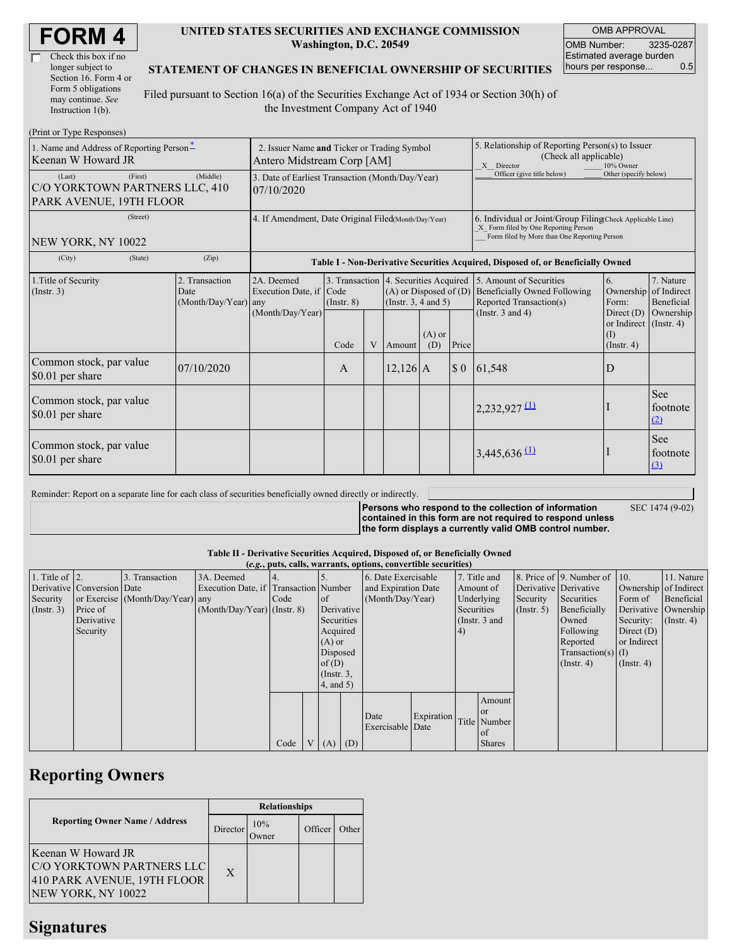| <b>FORM4</b> |
|--------------|
|--------------|

| Check this box if no  |
|-----------------------|
| longer subject to     |
| Section 16. Form 4 or |
| Form 5 obligations    |
| may continue. See     |
| Instruction 1(b).     |

### **UNITED STATES SECURITIES AND EXCHANGE COMMISSION Washington, D.C. 20549**

OMB APPROVAL OMB Number: 3235-0287 Estimated average burden hours per response... 0.5

## **STATEMENT OF CHANGES IN BENEFICIAL OWNERSHIP OF SECURITIES**

Filed pursuant to Section 16(a) of the Securities Exchange Act of 1934 or Section 30(h) of the Investment Company Act of 1940

| (Print or Type Responses)                                                      |                                                                                           |                                       |                  |   |                                                                                                 |                                                                                                                                                    |                       |                                                                                    |                                                        |                                                 |
|--------------------------------------------------------------------------------|-------------------------------------------------------------------------------------------|---------------------------------------|------------------|---|-------------------------------------------------------------------------------------------------|----------------------------------------------------------------------------------------------------------------------------------------------------|-----------------------|------------------------------------------------------------------------------------|--------------------------------------------------------|-------------------------------------------------|
| 1. Name and Address of Reporting Person*<br>Keenan W Howard JR                 | 2. Issuer Name and Ticker or Trading Symbol<br>Antero Midstream Corp [AM]                 |                                       |                  |   |                                                                                                 | 5. Relationship of Reporting Person(s) to Issuer<br>(Check all applicable)<br>X Director<br>10% Owner                                              |                       |                                                                                    |                                                        |                                                 |
| (First)<br>(Last)<br>C/O YORKTOWN PARTNERS LLC, 410<br>PARK AVENUE, 19TH FLOOR | 3. Date of Earliest Transaction (Month/Day/Year)<br>07/10/2020                            |                                       |                  |   |                                                                                                 | Officer (give title below)                                                                                                                         | Other (specify below) |                                                                                    |                                                        |                                                 |
| (Street)<br>NEW YORK, NY 10022                                                 | 4. If Amendment, Date Original Filed(Month/Day/Year)                                      |                                       |                  |   |                                                                                                 | 6. Individual or Joint/Group Filing(Check Applicable Line)<br>X Form filed by One Reporting Person<br>Form filed by More than One Reporting Person |                       |                                                                                    |                                                        |                                                 |
| (City)<br>(State)                                                              | (Zip)<br>Table I - Non-Derivative Securities Acquired, Disposed of, or Beneficially Owned |                                       |                  |   |                                                                                                 |                                                                                                                                                    |                       |                                                                                    |                                                        |                                                 |
| 1. Title of Security<br>(Insert. 3)                                            | 2. Transaction<br>Date<br>(Month/Day/Year) any                                            | 2A. Deemed<br>Execution Date, if Code | $($ Instr. 8 $)$ |   | 3. Transaction 4. Securities Acquired<br>$(A)$ or Disposed of $(D)$<br>(Instr. $3, 4$ and $5$ ) |                                                                                                                                                    |                       | 5. Amount of Securities<br>Beneficially Owned Following<br>Reported Transaction(s) | 6.<br>Ownership<br>Form:                               | 7. Nature<br>of Indirect<br>Beneficial          |
|                                                                                |                                                                                           | (Month/Day/Year)                      | Code             | V | Amount                                                                                          | $(A)$ or<br>(D)                                                                                                                                    | Price                 | (Instr. $3$ and $4$ )                                                              | Direct $(D)$<br>or Indirect<br>(I)<br>$($ Instr. 4 $)$ | Ownership<br>$($ Instr. 4 $)$                   |
| Common stock, par value<br>\$0.01 per share                                    | 07/10/2020                                                                                |                                       | A                |   | $12,126$ A                                                                                      |                                                                                                                                                    |                       | $$0 \;   \; 61,548$                                                                | D                                                      |                                                 |
| Common stock, par value<br>\$0.01 per share                                    |                                                                                           |                                       |                  |   |                                                                                                 |                                                                                                                                                    |                       | $2,232,927$ (1)                                                                    |                                                        | <b>See</b><br>footnote<br>(2)                   |
| Common stock, par value<br>\$0.01 per share                                    |                                                                                           |                                       |                  |   |                                                                                                 |                                                                                                                                                    |                       | $3,445,636$ <sup>(1)</sup>                                                         |                                                        | See<br>footnote<br>$\left( \frac{3}{2} \right)$ |

Reminder: Report on a separate line for each class of securities beneficially owned directly or indirectly.

**Persons who respond to the collection of information contained in this form are not required to respond unless the form displays a currently valid OMB control number.** SEC 1474 (9-02)

#### **Table II - Derivative Securities Acquired, Disposed of, or Beneficially Owned (***e.g.***, puts, calls, warrants, options, convertible securities)**

| $(c, \zeta, \mu\omega, \zeta)$ cans, wall alles, options, convertible securities) |                            |                                  |                                       |      |                |                  |                     |                     |            |            |               |                       |                              |                       |                      |
|-----------------------------------------------------------------------------------|----------------------------|----------------------------------|---------------------------------------|------|----------------|------------------|---------------------|---------------------|------------|------------|---------------|-----------------------|------------------------------|-----------------------|----------------------|
| 1. Title of $\vert$ 2.                                                            |                            | 3. Transaction                   | 3A. Deemed                            |      |                |                  |                     | 6. Date Exercisable |            |            | 7. Title and  |                       | 8. Price of 9. Number of 10. |                       | 11. Nature           |
|                                                                                   | Derivative Conversion Date |                                  | Execution Date, if Transaction Number |      |                |                  | and Expiration Date |                     | Amount of  |            |               | Derivative Derivative |                              | Ownership of Indirect |                      |
| Security                                                                          |                            | or Exercise (Month/Day/Year) any |                                       | Code |                | of of            |                     | (Month/Day/Year)    |            |            | Underlying    | Security              | Securities                   | Form of               | Beneficial           |
| (Insert. 3)                                                                       | Price of                   |                                  | $(Month/Day/Year)$ (Instr. 8)         |      |                | Derivative       |                     |                     |            | Securities |               | $($ Instr. 5 $)$      | Beneficially                 |                       | Derivative Ownership |
|                                                                                   | Derivative                 |                                  |                                       |      |                | Securities       |                     |                     |            |            | (Instr. 3 and |                       | Owned                        | Security:             | $($ Instr. 4 $)$     |
|                                                                                   | Security                   |                                  |                                       |      |                | Acquired         |                     |                     |            |            |               |                       | Following                    | Direct $(D)$          |                      |
|                                                                                   |                            |                                  |                                       |      |                | $(A)$ or         |                     |                     |            |            |               |                       | Reported                     | or Indirect           |                      |
|                                                                                   |                            |                                  |                                       |      |                | Disposed         |                     |                     |            |            |               |                       | $Transaction(s)$ (I)         |                       |                      |
|                                                                                   |                            |                                  |                                       |      |                | of(D)            |                     |                     |            |            |               |                       | $($ Instr. 4 $)$             | $($ Instr. 4 $)$      |                      |
|                                                                                   |                            |                                  |                                       |      |                | $($ Instr. $3$ , |                     |                     |            |            |               |                       |                              |                       |                      |
|                                                                                   |                            |                                  |                                       |      |                | $4$ , and $5$ )  |                     |                     |            |            |               |                       |                              |                       |                      |
|                                                                                   |                            |                                  |                                       |      |                |                  |                     |                     |            |            | Amount        |                       |                              |                       |                      |
|                                                                                   |                            |                                  |                                       |      |                |                  |                     |                     |            |            | <b>or</b>     |                       |                              |                       |                      |
|                                                                                   |                            |                                  |                                       |      |                |                  |                     | Date                | Expiration |            | Title Number  |                       |                              |                       |                      |
|                                                                                   |                            |                                  |                                       |      |                |                  |                     | Exercisable Date    |            |            | of            |                       |                              |                       |                      |
|                                                                                   |                            |                                  |                                       | Code | V <sub>1</sub> | (A)              | (D)                 |                     |            |            | <b>Shares</b> |                       |                              |                       |                      |

# **Reporting Owners**

|                                                                                                      | <b>Relationships</b> |              |         |       |  |  |  |
|------------------------------------------------------------------------------------------------------|----------------------|--------------|---------|-------|--|--|--|
| <b>Reporting Owner Name / Address</b>                                                                | Director             | 10%<br>Owner | Officer | Other |  |  |  |
| Keenan W Howard JR<br>C/O YORKTOWN PARTNERS LLC<br>410 PARK AVENUE, 19TH FLOOR<br>NEW YORK, NY 10022 | X                    |              |         |       |  |  |  |

## **Signatures**